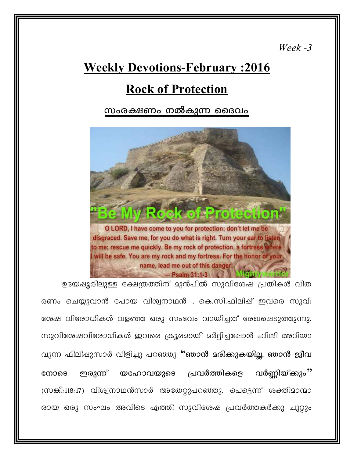$\textit{Week}$  -3

# **Weekly Devotions-February : 2016**

## **Rock of Protection**

#### സംരക്ഷണം നൽകുന്ന ദൈവം



ഉദയഷൂരിലുള്ള ക്ഷേത്രത്തിന് മുൻപിൽ സുവിശേഷ പ്രതികൾ വിത രണം ചെയ്യുവാൻ പോയ വിശ്വനാഥൻ , കെ.സി.ഫിലിഷ് ഇവരെ സുവി ശേഷ വിരോധികൾ വളഞ്ഞ ഒരു സംഭവം വായിച്ചത് രേഖപ്പെടുത്തുന്നു. സുവിശേഷവിരോധികൾ ഇവരെ ക്രൂരമായി മർദ്ദിച്ചപ്പോൾ ഹിന്ദി അറിയാ വുന്ന ഫിലിഷുസാർ വിളിച്ചു പറഞ്ഞു "ഞാൻ മരിക്കുകയില്ല, ഞാൻ ജീവ വർണ്ണിയ്ക്കും" പ്രവർത്തികളെ നോടെ ഇരുന്ന് യഹോവയുടെ (സങ്കീ:118:17) വിശ്വനാഥൻസാർ അതേറ്റുപറഞ്ഞു. പെട്ടെന്ന് ശക്തിമാന്മാ രായ ഒരു സംഘം അവിടെ എത്തി സുവിശേഷ പ്രവർത്തകർക്കു ചുറ്റും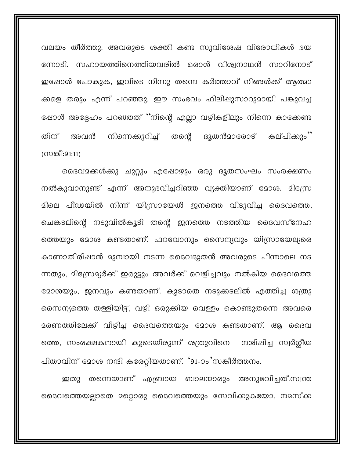വലയം തീർത്തു. അവരുടെ ശക്തി കണ്ട സുവിശേഷ വിരോധികൾ ഭയ ന്നോടി. സഹായത്തിനെത്തിയവരിൽ ഒരാൾ വിശ്വനാഥൻ സാറിനോട് ഇപ്പോൾ പോകുക, ഇവിടെ നിന്നു തന്നെ കർത്താവ് നിങ്ങൾക്ക് ആത്മാ ക്കളെ തരും എന്ന് പറഞ്ഞു. ഈ സംഭവം ഫിലിഷുസാറുമായി പങ്കുവച്ച ഷോൾ അദ്ദേഹം പറഞ്ഞത് ''നിന്റെ എല്ലാ വഴികളിലും നിന്നെ കാക്കേണ്ട കല്പിക്കും'' നിന്നെക്കുറിച്ച് തന്റെ ദൂതൻമാരോട് തിന് അവൻ ന്ധങ്കീ:91:11)

ദൈവമക്കൾക്കു ചുറ്റും എഷോഴും ഒരു ദൂതസംഘം സംരക്ഷണം നൽകുവാനുണ്ട് എന്ന് അനുഭവിച്ചറിഞ്ഞ വ്യക്തിയാണ് മോശ. മിസ്രേ മിലെ പീഢയിൽ നിന്ന് യിസ്രായേൽ ജനത്തെ വിടുവിച്ച ദൈവത്തെ, ചെങ്കടലിന്റെ നടുവിൽകൂടി തന്റെ ഇനത്തെ നടത്തിയ ദൈവസ്നേഹ ത്തെയും മോശ കണ്ടതാണ്. ഫറവോനും സൈന്യവും യിസ്രായേല്യരെ കാണാതിരിഷാൻ മുമ്പായി നടന്ന ദൈവദൂതൻ അവരുടെ പിന്നാലെ നട ന്നതും, മിന്ധ്രേമ്യർക്ക് ഇരുട്ടും അവർക്ക് വെളിച്ചവും നൽകിയ ദൈവത്തെ 2ോശയും, ജനവും കണ്ടതാണ്. കൂടാതെ നടുക്കടലിൽ എത്തിച്ച ശത്രു സൈന്യത്തെ തള്ളിയിട്ട്, വഴി ഒരുക്കിയ വെള്ളം കൊണ്ടുതന്നെ അവരെ മരണത്തിലേക്ക് വീഴിച്ച ദൈവത്തെയും മോശ കണ്ടതാണ്. ആ ദൈവ ത്തെ, സംരക്ഷകനായി കൂടെയിരുന്ന് ശത്രുവിനെ നശിഷിച്ച സ്വർഗ്ഗീയ പിതാവിന് മോശ നന്ദി കരേറ്റിയതാണ്. '91-ാം'സങ്കീർത്തനം.

തന്നെയാണ് എബ്രായ ബാലന്മാരും അനുഭവിച്ചത്.സ്വന്ത ഇതു ദൈവത്തെയല്ലാതെ മറ്റൊരു ദൈവത്തെയും സേവിക്കുകയോ, നമസ്ക്ക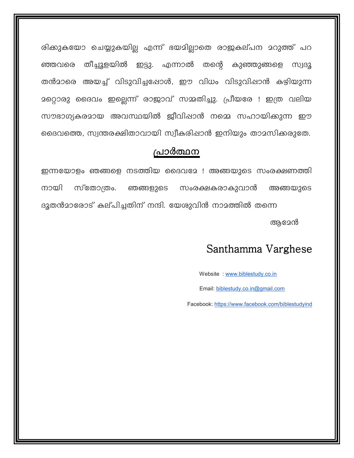രിക്കുകയോ ചെയ്യുകയില്ല എന്ന് ഭയമില്ലാതെ രാജകല്പന മറുത്ത് പറ തീച്ചുളയിൽ ഇട്ടു. എന്നാൽ തന്റെ കുഞ്ഞുങ്ങളെ ഞ്ഞവരെ **MUIB2** തൻമാരെ അയച്ച് വിടുവിച്ചപ്പോൾ, ഈ വിധം വിടുവിഷാൻ കഴിയുന്ന മറ്റൊരു ദൈവം ഇല്ലെന്ന് രാജാവ് സമ്മതിച്ചു. പ്രീയരേ ! ഇത്ര വലിയ സൗഭാഗ്യകരമായ അവസ്ഥയിൽ ജീവിഷാൻ നമ്മെ സഹായിക്കുന്ന ഈ ദൈവത്തെ, സ്വന്തരക്ഷിതാവായി സ്വീകരിഷാൻ ഇനിയും താമസിക്കരുതേ.

#### പ്രാർത്ഥന

ഇന്നയോളം ഞങ്ങളെ നടത്തിയ ദൈവമേ ! അങ്ങയുടെ സംരക്ഷണത്തി നായി സ്തോത്രം. ഞങ്ങളുടെ സംരക്ഷകരാകുവാൻ അങ്ങയുടെ ദുതൻമാരോട് കല്പിച്ചതിന് നന്ദി. യേശുവിൻ നാമത്തിൽ തന്നെ ആമേൻ

### Santhamma Varghese

Website: www.biblestudy.co.in

Email: biblestudy.co.in@gmail.com

Facebook: https://www.facebook.com/biblestudyind